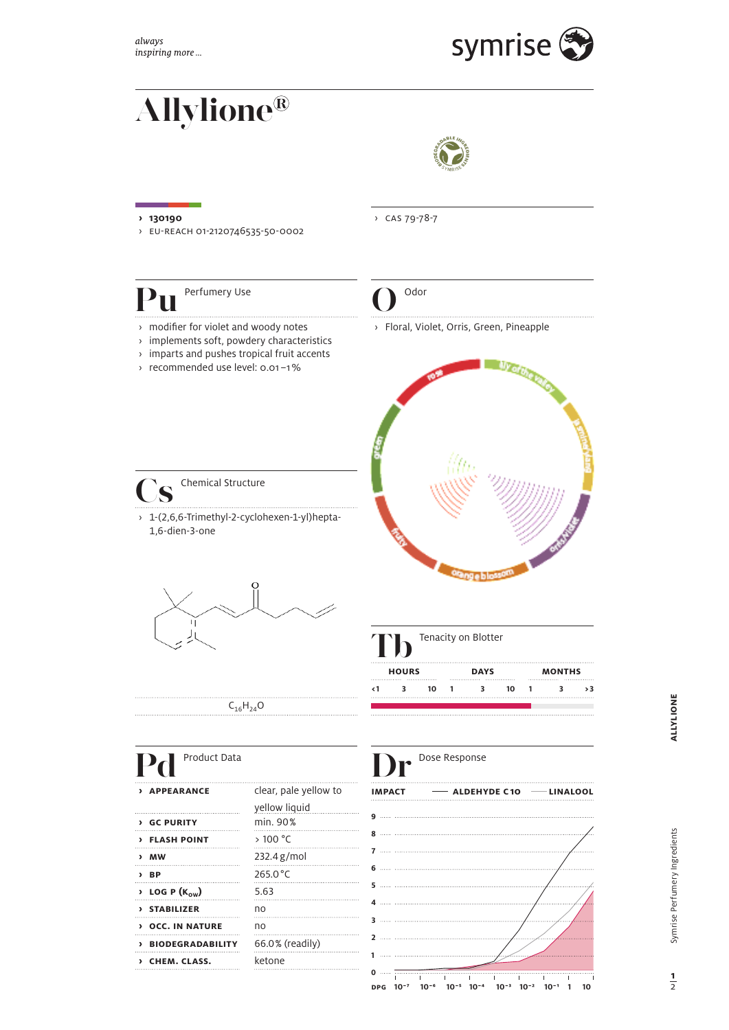